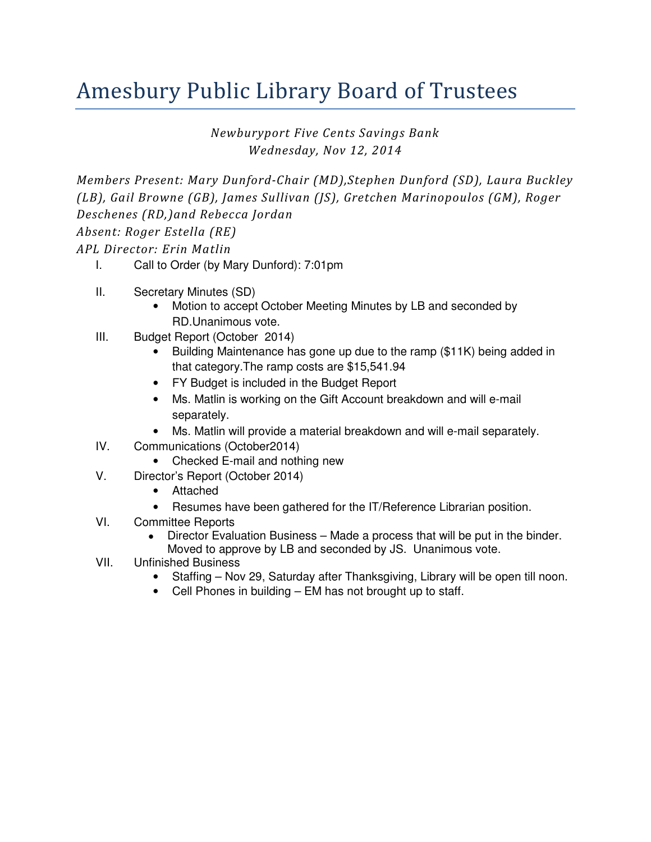## Amesbury Public Library Board of Trustees

Newburyport Five Cents Savings Bank Wednesday, Nov 12, 2014

Members Present: Mary Dunford-Chair (MD),Stephen Dunford (SD), Laura Buckley (LB), Gail Browne (GB), James Sullivan (JS), Gretchen Marinopoulos (GM), Roger Deschenes (RD,)and Rebecca Jordan Absent: Roger Estella (RE)

APL Director: Erin Matlin

- I. Call to Order (by Mary Dunford): 7:01pm
- II. Secretary Minutes (SD)
	- Motion to accept October Meeting Minutes by LB and seconded by RD.Unanimous vote.
- III. Budget Report (October 2014)
	- Building Maintenance has gone up due to the ramp (\$11K) being added in that category.The ramp costs are \$15,541.94
	- FY Budget is included in the Budget Report
	- Ms. Matlin is working on the Gift Account breakdown and will e-mail separately.
	- Ms. Matlin will provide a material breakdown and will e-mail separately.
- IV. Communications (October2014)
	- Checked E-mail and nothing new
- V. Director's Report (October 2014)
	- Attached
	- Resumes have been gathered for the IT/Reference Librarian position.
- VI. Committee Reports
	- Director Evaluation Business Made a process that will be put in the binder. Moved to approve by LB and seconded by JS. Unanimous vote.
- VII. Unfinished Business
	- Staffing Nov 29, Saturday after Thanksgiving, Library will be open till noon.
	- Cell Phones in building EM has not brought up to staff.